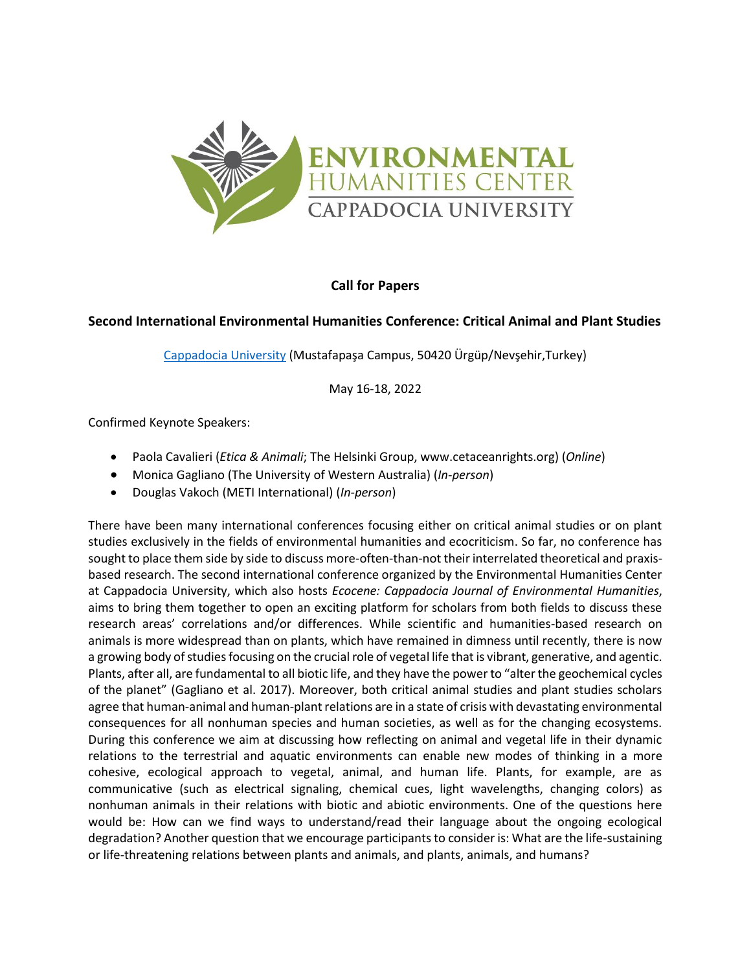

## **Call for Papers**

## **Second International Environmental Humanities Conference: Critical Animal and Plant Studies**

[Cappadocia University](https://kapadokya.edu.tr/) (Mustafapaşa Campus, 50420 Ürgüp/Nevşehir,Turkey)

May 16-18, 2022

Confirmed Keynote Speakers:

- Paola Cavalieri (*Etica & Animali*; The Helsinki Group, www.cetaceanrights.org) (*Online*)
- Monica Gagliano (The University of Western Australia) (*In-person*)
- Douglas Vakoch (METI International) (*In-person*)

There have been many international conferences focusing either on critical animal studies or on plant studies exclusively in the fields of environmental humanities and ecocriticism. So far, no conference has sought to place them side by side to discuss more-often-than-not their interrelated theoretical and praxisbased research. The second international conference organized by the Environmental Humanities Center at Cappadocia University, which also hosts *Ecocene: Cappadocia Journal of Environmental Humanities*, aims to bring them together to open an exciting platform for scholars from both fields to discuss these research areas' correlations and/or differences. While scientific and humanities-based research on animals is more widespread than on plants, which have remained in dimness until recently, there is now a growing body of studies focusing on the crucial role of vegetal life that is vibrant, generative, and agentic. Plants, after all, are fundamental to all biotic life, and they have the power to "alter the geochemical cycles of the planet" (Gagliano et al. 2017). Moreover, both critical animal studies and plant studies scholars agree that human-animal and human-plant relations are in a state of crisis with devastating environmental consequences for all nonhuman species and human societies, as well as for the changing ecosystems. During this conference we aim at discussing how reflecting on animal and vegetal life in their dynamic relations to the terrestrial and aquatic environments can enable new modes of thinking in a more cohesive, ecological approach to vegetal, animal, and human life. Plants, for example, are as communicative (such as electrical signaling, chemical cues, light wavelengths, changing colors) as nonhuman animals in their relations with biotic and abiotic environments. One of the questions here would be: How can we find ways to understand/read their language about the ongoing ecological degradation? Another question that we encourage participants to consider is: What are the life-sustaining or life-threatening relations between plants and animals, and plants, animals, and humans?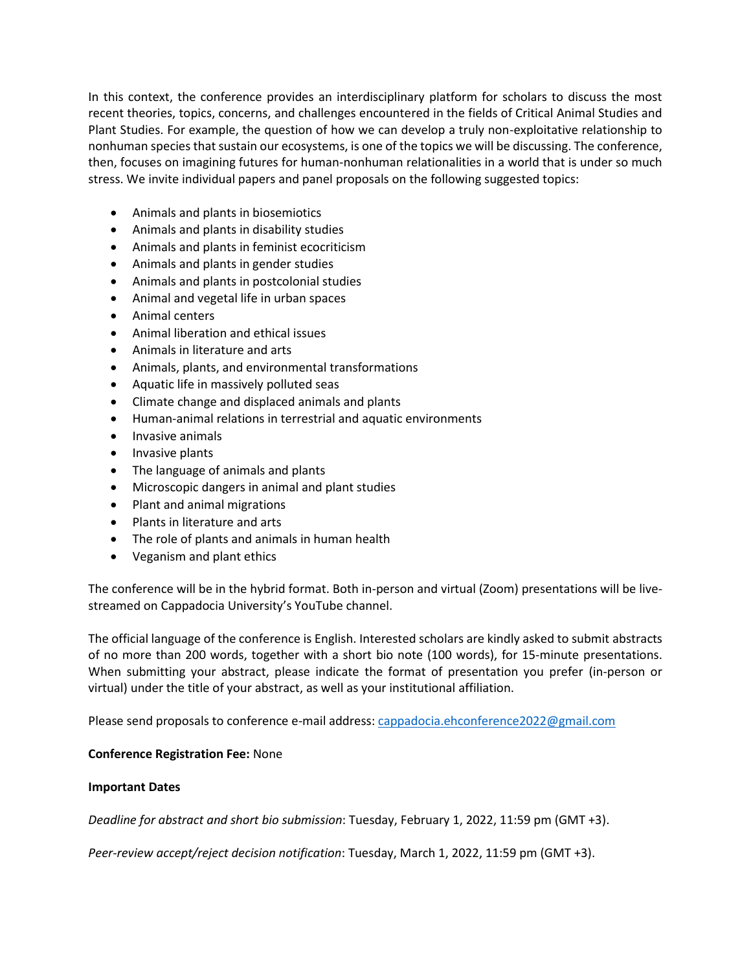In this context, the conference provides an interdisciplinary platform for scholars to discuss the most recent theories, topics, concerns, and challenges encountered in the fields of Critical Animal Studies and Plant Studies. For example, the question of how we can develop a truly non-exploitative relationship to nonhuman species that sustain our ecosystems, is one of the topics we will be discussing. The conference, then, focuses on imagining futures for human-nonhuman relationalities in a world that is under so much stress. We invite individual papers and panel proposals on the following suggested topics:

- Animals and plants in biosemiotics
- Animals and plants in disability studies
- Animals and plants in feminist ecocriticism
- Animals and plants in gender studies
- Animals and plants in postcolonial studies
- Animal and vegetal life in urban spaces
- Animal centers
- Animal liberation and ethical issues
- Animals in literature and arts
- Animals, plants, and environmental transformations
- Aquatic life in massively polluted seas
- Climate change and displaced animals and plants
- Human-animal relations in terrestrial and aquatic environments
- Invasive animals
- Invasive plants
- The language of animals and plants
- Microscopic dangers in animal and plant studies
- Plant and animal migrations
- Plants in literature and arts
- The role of plants and animals in human health
- Veganism and plant ethics

The conference will be in the hybrid format. Both in-person and virtual (Zoom) presentations will be livestreamed on Cappadocia University's YouTube channel.

The official language of the conference is English. Interested scholars are kindly asked to submit abstracts of no more than 200 words, together with a short bio note (100 words), for 15-minute presentations. When submitting your abstract, please indicate the format of presentation you prefer (in-person or virtual) under the title of your abstract, as well as your institutional affiliation.

Please send proposals to conference e-mail address: [cappadocia.ehconference2022@gmail.com](mailto:cappadocia.ehconference2022@gmail.com)

## **Conference Registration Fee:** None

## **Important Dates**

*Deadline for abstract and short bio submission*: Tuesday, February 1, 2022, 11:59 pm (GMT +3).

*Peer-review accept/reject decision notification*: Tuesday, March 1, 2022, 11:59 pm (GMT +3).